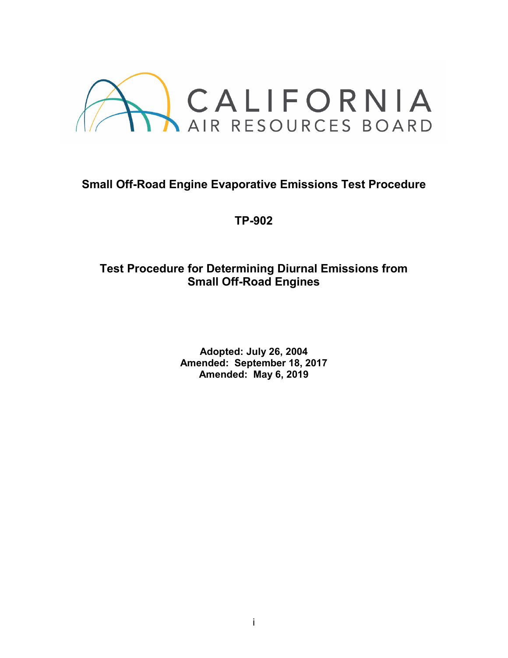

# **Small Off-Road Engine Evaporative Emissions Test Procedure**

**TP-902**

# **Test Procedure for Determining Diurnal Emissions from Small Off-Road Engines**

**Adopted: July 26, 2004 Amended: September 18, 2017 Amended: May 6, 2019**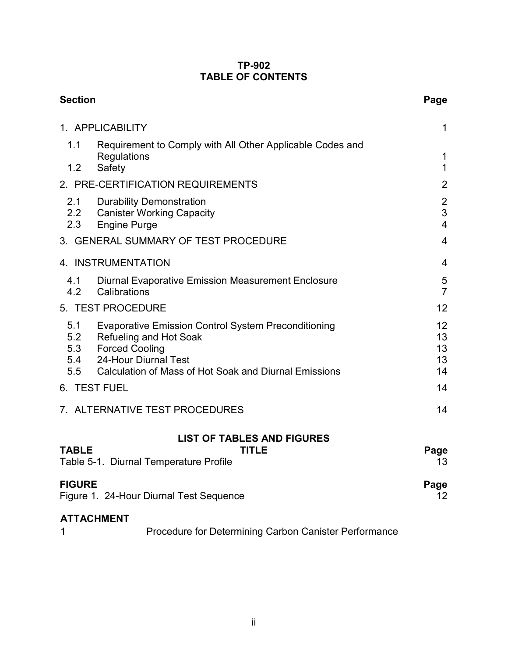### **TP-902 TABLE OF CONTENTS**

| <b>Section</b>                                                                                                                                                                                                              | Page                            |
|-----------------------------------------------------------------------------------------------------------------------------------------------------------------------------------------------------------------------------|---------------------------------|
| 1. APPLICABILITY                                                                                                                                                                                                            | 1                               |
| Requirement to Comply with All Other Applicable Codes and<br>1.1<br>Regulations<br>1.2<br>Safety                                                                                                                            | 1<br>$\mathbf{1}$               |
| 2. PRE-CERTIFICATION REQUIREMENTS                                                                                                                                                                                           | $\overline{2}$                  |
| 2.1<br><b>Durability Demonstration</b><br>2.2 Canister Working Capacity<br>2.3<br><b>Engine Purge</b>                                                                                                                       | $\frac{2}{3}$<br>$\overline{4}$ |
| 3. GENERAL SUMMARY OF TEST PROCEDURE                                                                                                                                                                                        | $\overline{4}$                  |
| 4. INSTRUMENTATION                                                                                                                                                                                                          | 4                               |
| Diurnal Evaporative Emission Measurement Enclosure<br>4.1<br>4.2<br>Calibrations                                                                                                                                            | 5<br>$\overline{7}$             |
| 5. TEST PROCEDURE                                                                                                                                                                                                           | 12                              |
| 5.1<br><b>Evaporative Emission Control System Preconditioning</b><br>5.2<br><b>Refueling and Hot Soak</b><br>5.3 Forced Cooling<br>5.4 24-Hour Diurnal Test<br>5.5<br>Calculation of Mass of Hot Soak and Diurnal Emissions | 12<br>13<br>13<br>13<br>14      |
| 6. TEST FUEL                                                                                                                                                                                                                | 14                              |
| 7. ALTERNATIVE TEST PROCEDURES                                                                                                                                                                                              | 14                              |
| <b>LIST OF TABLES AND FIGURES</b>                                                                                                                                                                                           |                                 |
| <b>TABLE</b><br><b>TITLE</b><br>Table 5-1. Diurnal Temperature Profile                                                                                                                                                      | Page<br>13                      |
| <b>FIGURE</b><br>Figure 1. 24-Hour Diurnal Test Sequence                                                                                                                                                                    | Page<br>12.                     |
| <b>ATTACHMENT</b><br>Procedure for Determining Carbon Canister Performance                                                                                                                                                  |                                 |

Procedure for Determining Carbon Canister Performance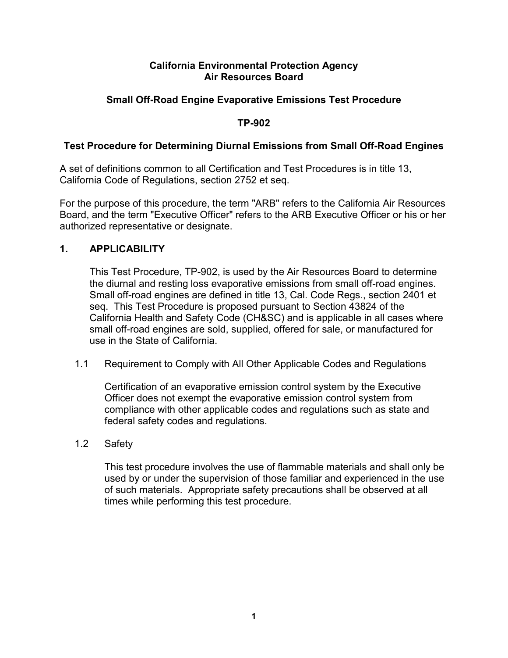### **California Environmental Protection Agency Air Resources Board**

### **Small Off-Road Engine Evaporative Emissions Test Procedure**

### **TP-902**

### **Test Procedure for Determining Diurnal Emissions from Small Off-Road Engines**

A set of definitions common to all Certification and Test Procedures is in title 13, California Code of Regulations, section 2752 et seq.

For the purpose of this procedure, the term "ARB" refers to the California Air Resources Board, and the term "Executive Officer" refers to the ARB Executive Officer or his or her authorized representative or designate.

### **1. APPLICABILITY**

This Test Procedure, TP-902, is used by the Air Resources Board to determine the diurnal and resting loss evaporative emissions from small off-road engines. Small off-road engines are defined in title 13, Cal. Code Regs., section 2401 et seq. This Test Procedure is proposed pursuant to Section 43824 of the California Health and Safety Code (CH&SC) and is applicable in all cases where small off-road engines are sold, supplied, offered for sale, or manufactured for use in the State of California.

1.1 Requirement to Comply with All Other Applicable Codes and Regulations

Certification of an evaporative emission control system by the Executive Officer does not exempt the evaporative emission control system from compliance with other applicable codes and regulations such as state and federal safety codes and regulations.

### 1.2 Safety

This test procedure involves the use of flammable materials and shall only be used by or under the supervision of those familiar and experienced in the use of such materials. Appropriate safety precautions shall be observed at all times while performing this test procedure.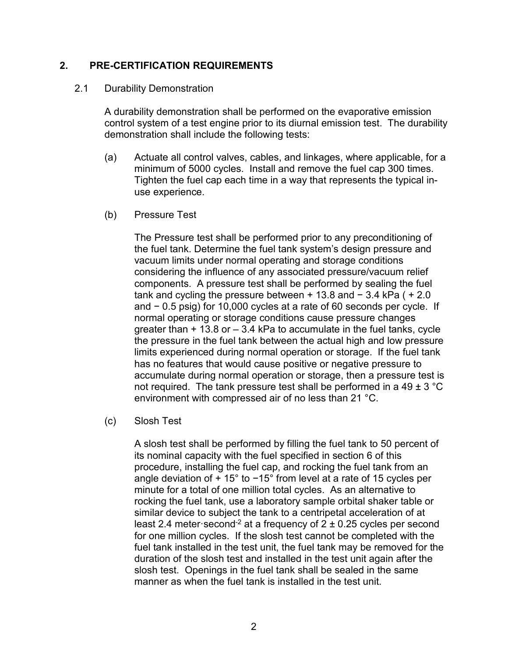### **2. PRE-CERTIFICATION REQUIREMENTS**

#### 2.1 Durability Demonstration

A durability demonstration shall be performed on the evaporative emission control system of a test engine prior to its diurnal emission test. The durability demonstration shall include the following tests:

- (a) Actuate all control valves, cables, and linkages, where applicable, for a minimum of 5000 cycles. Install and remove the fuel cap 300 times. Tighten the fuel cap each time in a way that represents the typical inuse experience.
- (b) Pressure Test

The Pressure test shall be performed prior to any preconditioning of the fuel tank. Determine the fuel tank system's design pressure and vacuum limits under normal operating and storage conditions considering the influence of any associated pressure/vacuum relief components. A pressure test shall be performed by sealing the fuel tank and cycling the pressure between + 13.8 and − 3.4 kPa ( + 2.0 and − 0.5 psig) for 10,000 cycles at a rate of 60 seconds per cycle. If normal operating or storage conditions cause pressure changes greater than  $+13.8$  or  $-3.4$  kPa to accumulate in the fuel tanks, cycle the pressure in the fuel tank between the actual high and low pressure limits experienced during normal operation or storage. If the fuel tank has no features that would cause positive or negative pressure to accumulate during normal operation or storage, then a pressure test is not required. The tank pressure test shall be performed in a 49  $\pm$  3 °C environment with compressed air of no less than 21 °C.

(c) Slosh Test

A slosh test shall be performed by filling the fuel tank to 50 percent of its nominal capacity with the fuel specified in section 6 of this procedure, installing the fuel cap, and rocking the fuel tank from an angle deviation of + 15° to −15° from level at a rate of 15 cycles per minute for a total of one million total cycles. As an alternative to rocking the fuel tank, use a laboratory sample orbital shaker table or similar device to subject the tank to a centripetal acceleration of at least 2.4 meter second<sup>-2</sup> at a frequency of  $2 \pm 0.25$  cycles per second for one million cycles. If the slosh test cannot be completed with the fuel tank installed in the test unit, the fuel tank may be removed for the duration of the slosh test and installed in the test unit again after the slosh test. Openings in the fuel tank shall be sealed in the same manner as when the fuel tank is installed in the test unit.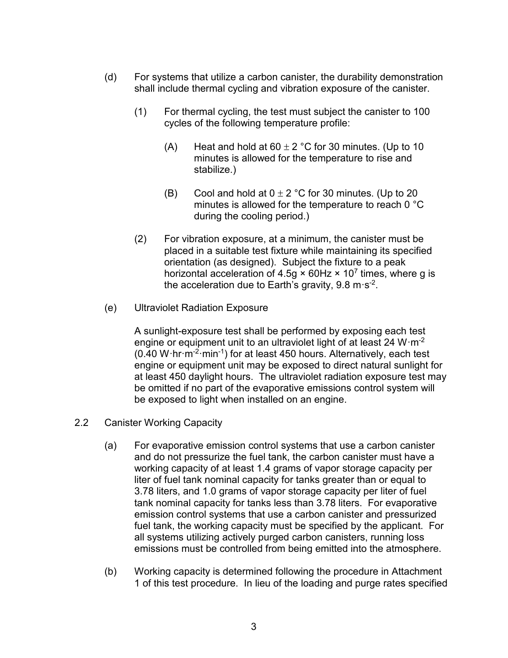- (d) For systems that utilize a carbon canister, the durability demonstration shall include thermal cycling and vibration exposure of the canister.
	- (1) For thermal cycling, the test must subject the canister to 100 cycles of the following temperature profile:
		- (A) Heat and hold at  $60 \pm 2$  °C for 30 minutes. (Up to 10 minutes is allowed for the temperature to rise and stabilize.)
		- (B) Cool and hold at  $0 \pm 2$  °C for 30 minutes. (Up to 20 minutes is allowed for the temperature to reach 0 °C during the cooling period.)
	- (2) For vibration exposure, at a minimum, the canister must be placed in a suitable test fixture while maintaining its specified orientation (as designed). Subject the fixture to a peak horizontal acceleration of 4.5g  $\times$  60Hz  $\times$  10<sup>7</sup> times, where g is the acceleration due to Earth's gravity,  $9.8 \text{ m} \cdot \text{s}^{-2}$ .
- (e) Ultraviolet Radiation Exposure

A sunlight-exposure test shall be performed by exposing each test engine or equipment unit to an ultraviolet light of at least 24 W·m<sup>-2</sup> (0.40 W·hr·m-2·min-1) for at least 450 hours. Alternatively, each test engine or equipment unit may be exposed to direct natural sunlight for at least 450 daylight hours. The ultraviolet radiation exposure test may be omitted if no part of the evaporative emissions control system will be exposed to light when installed on an engine.

- 2.2 Canister Working Capacity
	- (a) For evaporative emission control systems that use a carbon canister and do not pressurize the fuel tank, the carbon canister must have a working capacity of at least 1.4 grams of vapor storage capacity per liter of fuel tank nominal capacity for tanks greater than or equal to 3.78 liters, and 1.0 grams of vapor storage capacity per liter of fuel tank nominal capacity for tanks less than 3.78 liters. For evaporative emission control systems that use a carbon canister and pressurized fuel tank, the working capacity must be specified by the applicant. For all systems utilizing actively purged carbon canisters, running loss emissions must be controlled from being emitted into the atmosphere.
	- (b) Working capacity is determined following the procedure in Attachment 1 of this test procedure. In lieu of the loading and purge rates specified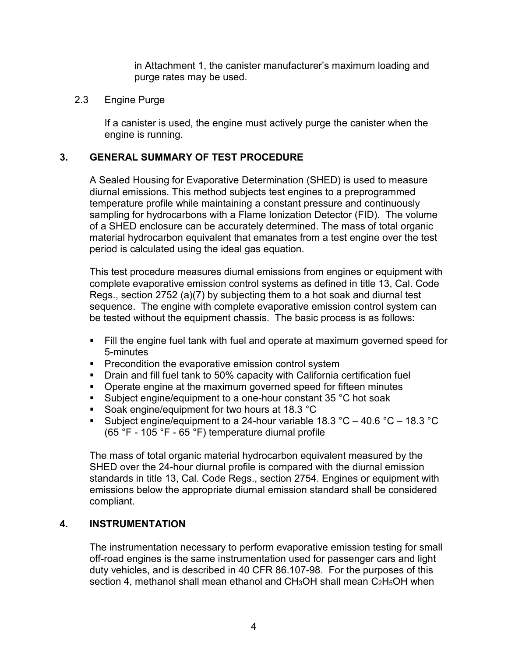in Attachment 1, the canister manufacturer's maximum loading and purge rates may be used.

### 2.3 Engine Purge

If a canister is used, the engine must actively purge the canister when the engine is running.

### **3. GENERAL SUMMARY OF TEST PROCEDURE**

A Sealed Housing for Evaporative Determination (SHED) is used to measure diurnal emissions. This method subjects test engines to a preprogrammed temperature profile while maintaining a constant pressure and continuously sampling for hydrocarbons with a Flame Ionization Detector (FID). The volume of a SHED enclosure can be accurately determined. The mass of total organic material hydrocarbon equivalent that emanates from a test engine over the test period is calculated using the ideal gas equation.

This test procedure measures diurnal emissions from engines or equipment with complete evaporative emission control systems as defined in title 13, Cal. Code Regs., section 2752 (a)(7) by subjecting them to a hot soak and diurnal test sequence. The engine with complete evaporative emission control system can be tested without the equipment chassis. The basic process is as follows:

- Fill the engine fuel tank with fuel and operate at maximum governed speed for 5-minutes
- **Precondition the evaporative emission control system**
- **Drain and fill fuel tank to 50% capacity with California certification fuel**
- **Operate engine at the maximum governed speed for fifteen minutes**
- Subject engine/equipment to a one-hour constant 35 °C hot soak
- Soak engine/equipment for two hours at 18.3 °C
- Subject engine/equipment to a 24-hour variable  $18.3 \text{ °C} 40.6 \text{ °C} 18.3 \text{ °C}$ (65 °F - 105 °F - 65 °F) temperature diurnal profile

The mass of total organic material hydrocarbon equivalent measured by the SHED over the 24-hour diurnal profile is compared with the diurnal emission standards in title 13, Cal. Code Regs., section 2754. Engines or equipment with emissions below the appropriate diurnal emission standard shall be considered compliant.

### **4. INSTRUMENTATION**

The instrumentation necessary to perform evaporative emission testing for small off-road engines is the same instrumentation used for passenger cars and light duty vehicles, and is described in 40 CFR 86.107-98. For the purposes of this section 4, methanol shall mean ethanol and CH<sub>3</sub>OH shall mean C<sub>2</sub>H<sub>5</sub>OH when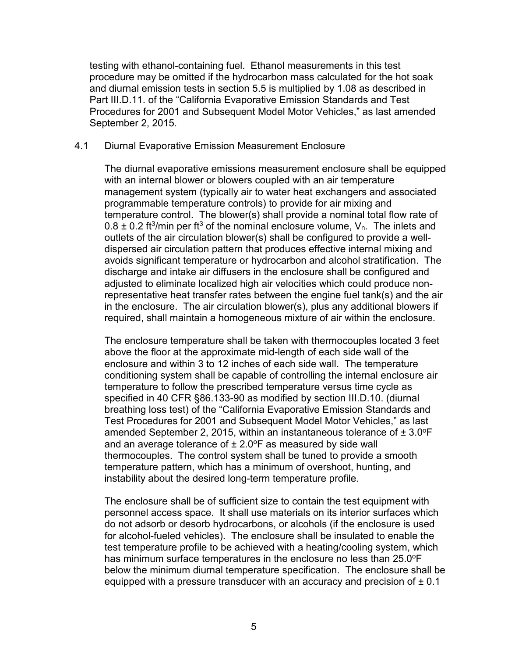testing with ethanol-containing fuel. Ethanol measurements in this test procedure may be omitted if the hydrocarbon mass calculated for the hot soak and diurnal emission tests in section 5.5 is multiplied by 1.08 as described in Part III.D.11. of the "California Evaporative Emission Standards and Test Procedures for 2001 and Subsequent Model Motor Vehicles," as last amended September 2, 2015.

#### 4.1 Diurnal Evaporative Emission Measurement Enclosure

The diurnal evaporative emissions measurement enclosure shall be equipped with an internal blower or blowers coupled with an air temperature management system (typically air to water heat exchangers and associated programmable temperature controls) to provide for air mixing and temperature control. The blower(s) shall provide a nominal total flow rate of  $0.8 \pm 0.2$  ft<sup>3</sup>/min per ft<sup>3</sup> of the nominal enclosure volume, V<sub>n</sub>. The inlets and outlets of the air circulation blower(s) shall be configured to provide a welldispersed air circulation pattern that produces effective internal mixing and avoids significant temperature or hydrocarbon and alcohol stratification. The discharge and intake air diffusers in the enclosure shall be configured and adjusted to eliminate localized high air velocities which could produce nonrepresentative heat transfer rates between the engine fuel tank(s) and the air in the enclosure. The air circulation blower(s), plus any additional blowers if required, shall maintain a homogeneous mixture of air within the enclosure.

The enclosure temperature shall be taken with thermocouples located 3 feet above the floor at the approximate mid-length of each side wall of the enclosure and within 3 to 12 inches of each side wall. The temperature conditioning system shall be capable of controlling the internal enclosure air temperature to follow the prescribed temperature versus time cycle as specified in 40 CFR §86.133-90 as modified by section III.D.10. (diurnal breathing loss test) of the "California Evaporative Emission Standards and Test Procedures for 2001 and Subsequent Model Motor Vehicles," as last amended September 2, 2015, within an instantaneous tolerance of  $\pm 3.0^{\circ}F$ and an average tolerance of  $\pm 2.0$  °F as measured by side wall thermocouples. The control system shall be tuned to provide a smooth temperature pattern, which has a minimum of overshoot, hunting, and instability about the desired long-term temperature profile.

The enclosure shall be of sufficient size to contain the test equipment with personnel access space. It shall use materials on its interior surfaces which do not adsorb or desorb hydrocarbons, or alcohols (if the enclosure is used for alcohol-fueled vehicles). The enclosure shall be insulated to enable the test temperature profile to be achieved with a heating/cooling system, which has minimum surface temperatures in the enclosure no less than 25.0°F below the minimum diurnal temperature specification. The enclosure shall be equipped with a pressure transducer with an accuracy and precision of  $\pm 0.1$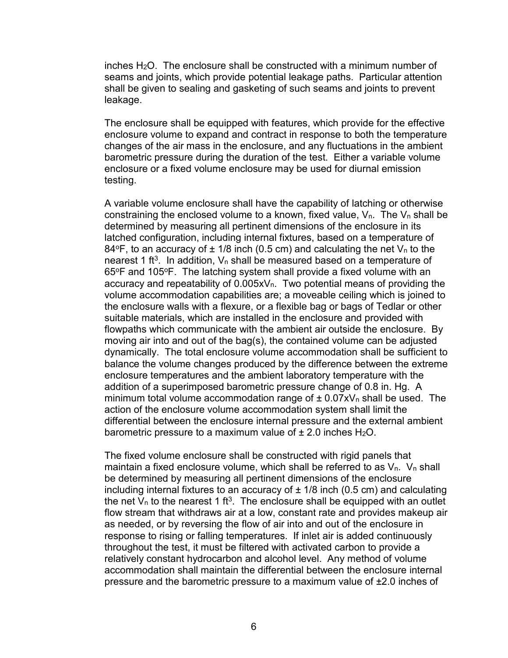inches H2O. The enclosure shall be constructed with a minimum number of seams and joints, which provide potential leakage paths. Particular attention shall be given to sealing and gasketing of such seams and joints to prevent leakage.

The enclosure shall be equipped with features, which provide for the effective enclosure volume to expand and contract in response to both the temperature changes of the air mass in the enclosure, and any fluctuations in the ambient barometric pressure during the duration of the test. Either a variable volume enclosure or a fixed volume enclosure may be used for diurnal emission testing.

A variable volume enclosure shall have the capability of latching or otherwise constraining the enclosed volume to a known, fixed value,  $V_n$ . The  $V_n$  shall be determined by measuring all pertinent dimensions of the enclosure in its latched configuration, including internal fixtures, based on a temperature of 84°F, to an accuracy of  $\pm$  1/8 inch (0.5 cm) and calculating the net  $V_n$  to the nearest 1 ft<sup>3</sup>. In addition,  $V_n$  shall be measured based on a temperature of  $65^{\circ}$ F and 105 $^{\circ}$ F. The latching system shall provide a fixed volume with an accuracy and repeatability of  $0.005xV<sub>n</sub>$ . Two potential means of providing the volume accommodation capabilities are; a moveable ceiling which is joined to the enclosure walls with a flexure, or a flexible bag or bags of Tedlar or other suitable materials, which are installed in the enclosure and provided with flowpaths which communicate with the ambient air outside the enclosure. By moving air into and out of the bag(s), the contained volume can be adjusted dynamically. The total enclosure volume accommodation shall be sufficient to balance the volume changes produced by the difference between the extreme enclosure temperatures and the ambient laboratory temperature with the addition of a superimposed barometric pressure change of 0.8 in. Hg. A minimum total volume accommodation range of  $\pm$  0.07xV<sub>n</sub> shall be used. The action of the enclosure volume accommodation system shall limit the differential between the enclosure internal pressure and the external ambient barometric pressure to a maximum value of  $\pm$  2.0 inches H<sub>2</sub>O.

The fixed volume enclosure shall be constructed with rigid panels that maintain a fixed enclosure volume, which shall be referred to as  $V_n$ .  $V_n$  shall be determined by measuring all pertinent dimensions of the enclosure including internal fixtures to an accuracy of  $\pm$  1/8 inch (0.5 cm) and calculating the net  $V_n$  to the nearest 1 ft<sup>3</sup>. The enclosure shall be equipped with an outlet flow stream that withdraws air at a low, constant rate and provides makeup air as needed, or by reversing the flow of air into and out of the enclosure in response to rising or falling temperatures. If inlet air is added continuously throughout the test, it must be filtered with activated carbon to provide a relatively constant hydrocarbon and alcohol level. Any method of volume accommodation shall maintain the differential between the enclosure internal pressure and the barometric pressure to a maximum value of ±2.0 inches of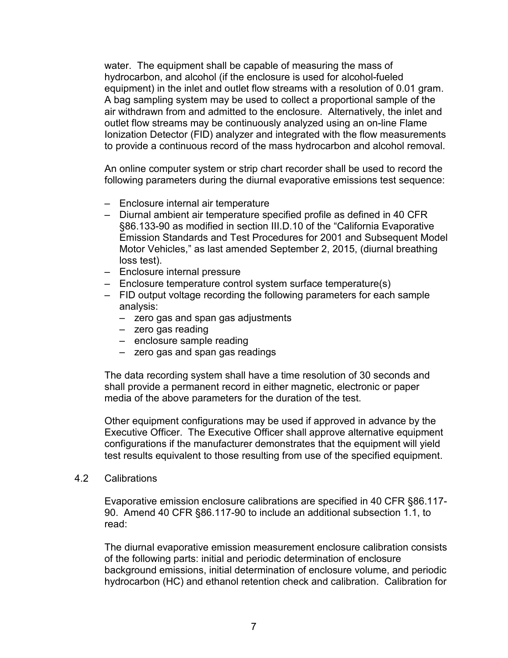water. The equipment shall be capable of measuring the mass of hydrocarbon, and alcohol (if the enclosure is used for alcohol-fueled equipment) in the inlet and outlet flow streams with a resolution of 0.01 gram. A bag sampling system may be used to collect a proportional sample of the air withdrawn from and admitted to the enclosure. Alternatively, the inlet and outlet flow streams may be continuously analyzed using an on-line Flame Ionization Detector (FID) analyzer and integrated with the flow measurements to provide a continuous record of the mass hydrocarbon and alcohol removal.

An online computer system or strip chart recorder shall be used to record the following parameters during the diurnal evaporative emissions test sequence:

- Enclosure internal air temperature
- Diurnal ambient air temperature specified profile as defined in 40 CFR §86.133-90 as modified in section III.D.10 of the "California Evaporative Emission Standards and Test Procedures for 2001 and Subsequent Model Motor Vehicles," as last amended September 2, 2015, (diurnal breathing loss test).
- Enclosure internal pressure
- Enclosure temperature control system surface temperature(s)
- FID output voltage recording the following parameters for each sample analysis:
	- zero gas and span gas adjustments
	- zero gas reading
	- enclosure sample reading
	- zero gas and span gas readings

The data recording system shall have a time resolution of 30 seconds and shall provide a permanent record in either magnetic, electronic or paper media of the above parameters for the duration of the test.

Other equipment configurations may be used if approved in advance by the Executive Officer. The Executive Officer shall approve alternative equipment configurations if the manufacturer demonstrates that the equipment will yield test results equivalent to those resulting from use of the specified equipment.

#### 4.2 Calibrations

Evaporative emission enclosure calibrations are specified in 40 CFR §86.117- 90. Amend 40 CFR §86.117-90 to include an additional subsection 1.1, to read:

The diurnal evaporative emission measurement enclosure calibration consists of the following parts: initial and periodic determination of enclosure background emissions, initial determination of enclosure volume, and periodic hydrocarbon (HC) and ethanol retention check and calibration. Calibration for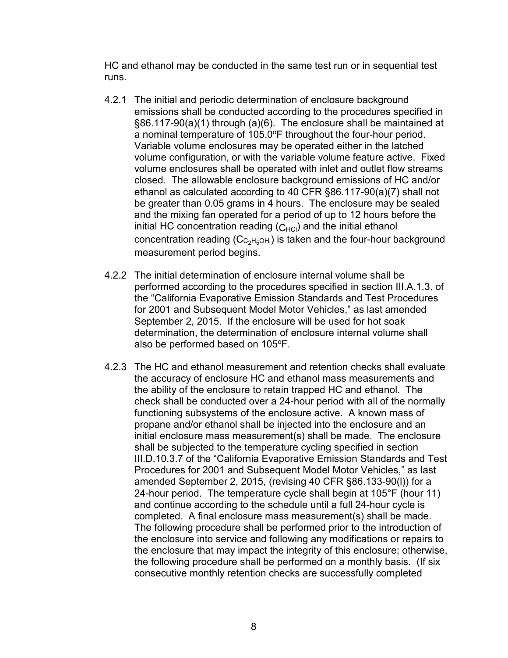HC and ethanol may be conducted in the same test run or in sequential test runs.

- 4.2.1 The initial and periodic determination of enclosure background emissions shall be conducted according to the procedures specified in §86.117-90(a)(1) through (a)(6). The enclosure shall be maintained at a nominal temperature of 105.0°F throughout the four-hour period. Variable volume enclosures may be operated either in the latched volume configuration, or with the variable volume feature active. Fixed volume enclosures shall be operated with inlet and outlet flow streams closed. The allowable enclosure background emissions of HC and/or ethanol as calculated according to 40 CFR §86.117-90(a)(7) shall not be greater than 0.05 grams in 4 hours. The enclosure may be sealed and the mixing fan operated for a period of up to 12 hours before the initial HC concentration reading  $(C_{HCi})$  and the initial ethanol concentration reading (C $\rm{c_{2^{H_5OH_i}}}$ ) is taken and the four-hour background measurement period begins.
- 4.2.2 The initial determination of enclosure internal volume shall be performed according to the procedures specified in section III.A.1.3. of the "California Evaporative Emission Standards and Test Procedures for 2001 and Subsequent Model Motor Vehicles," as last amended September 2, 2015. If the enclosure will be used for hot soak determination, the determination of enclosure internal volume shall also be performed based on 105°F.
- 4.2.3 The HC and ethanol measurement and retention checks shall evaluate the accuracy of enclosure HC and ethanol mass measurements and the ability of the enclosure to retain trapped HC and ethanol. The check shall be conducted over a 24-hour period with all of the normally functioning subsystems of the enclosure active. A known mass of propane and/or ethanol shall be injected into the enclosure and an initial enclosure mass measurement(s) shall be made. The enclosure shall be subjected to the temperature cycling specified in section III.D.10.3.7 of the "California Evaporative Emission Standards and Test Procedures for 2001 and Subsequent Model Motor Vehicles," as last amended September 2, 2015, (revising 40 CFR §86.133-90(l)) for a 24-hour period. The temperature cycle shall begin at 105°F (hour 11) and continue according to the schedule until a full 24-hour cycle is completed. A final enclosure mass measurement(s) shall be made. The following procedure shall be performed prior to the introduction of the enclosure into service and following any modifications or repairs to the enclosure that may impact the integrity of this enclosure; otherwise, the following procedure shall be performed on a monthly basis. (If six consecutive monthly retention checks are successfully completed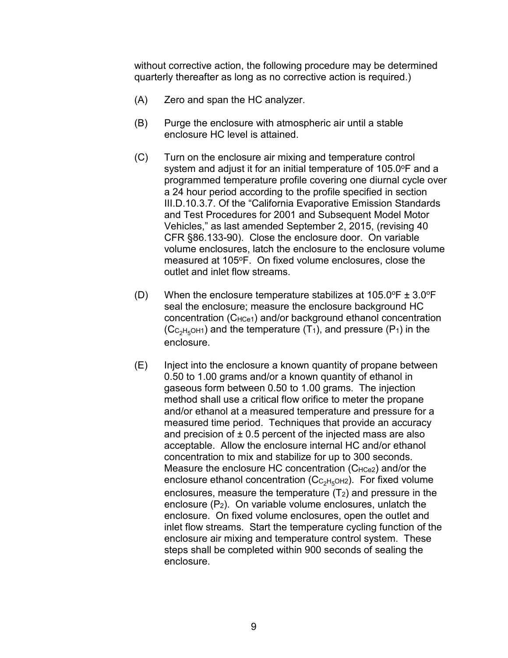without corrective action, the following procedure may be determined quarterly thereafter as long as no corrective action is required.)

- (A) Zero and span the HC analyzer.
- (B) Purge the enclosure with atmospheric air until a stable enclosure HC level is attained.
- (C) Turn on the enclosure air mixing and temperature control system and adjust it for an initial temperature of  $105.0^{\circ}$ F and a programmed temperature profile covering one diurnal cycle over a 24 hour period according to the profile specified in section III.D.10.3.7. Of the "California Evaporative Emission Standards and Test Procedures for 2001 and Subsequent Model Motor Vehicles," as last amended September 2, 2015, (revising 40 CFR §86.133-90). Close the enclosure door. On variable volume enclosures, latch the enclosure to the enclosure volume measured at 105°F. On fixed volume enclosures, close the outlet and inlet flow streams.
- (D) When the enclosure temperature stabilizes at  $105.0^{\circ}F \pm 3.0^{\circ}F$ seal the enclosure; measure the enclosure background HC concentration (C<sub>HCe1</sub>) and/or background ethanol concentration  $(C_{C_2H_5OH1})$  and the temperature  $(T_1)$ , and pressure  $(P_1)$  in the enclosure.
- (E) Inject into the enclosure a known quantity of propane between 0.50 to 1.00 grams and/or a known quantity of ethanol in gaseous form between 0.50 to 1.00 grams. The injection method shall use a critical flow orifice to meter the propane and/or ethanol at a measured temperature and pressure for a measured time period. Techniques that provide an accuracy and precision of  $\pm$  0.5 percent of the injected mass are also acceptable. Allow the enclosure internal HC and/or ethanol concentration to mix and stabilize for up to 300 seconds. Measure the enclosure HC concentration  $(C_{HCe2})$  and/or the enclosure ethanol concentration ( $\rm{Cc_{2}H_{5}OH2}$ ). For fixed volume enclosures, measure the temperature  $(T_2)$  and pressure in the enclosure  $(P_2)$ . On variable volume enclosures, unlatch the enclosure. On fixed volume enclosures, open the outlet and inlet flow streams. Start the temperature cycling function of the enclosure air mixing and temperature control system. These steps shall be completed within 900 seconds of sealing the enclosure.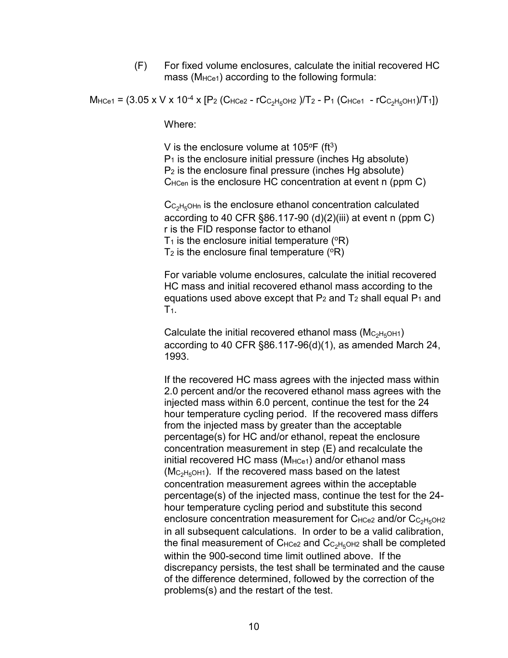(F) For fixed volume enclosures, calculate the initial recovered HC mass (M<sub>HCe1</sub>) according to the following formula:

 $M_{HCe1} = (3.05 \times V \times 10^{-4} \times [P_2 (C_{HCe2} - rC_{C_2H_5OH2})/T_2 - P_1 (C_{HCe1} - rC_{C_2H_5OH1})/T_1])$ 

Where:

V is the enclosure volume at  $105^{\circ}F$  (ft<sup>3</sup>)  $P_1$  is the enclosure initial pressure (inches Hg absolute) P2 is the enclosure final pressure (inches Hg absolute) C<sub>HCen</sub> is the enclosure HC concentration at event n (ppm C)

 $C_{C_2H_5OHn}$  is the enclosure ethanol concentration calculated according to 40 CFR  $\S 86.117-90$  (d)(2)(iii) at event n (ppm C) r is the FID response factor to ethanol  $T_1$  is the enclosure initial temperature ( $\textdegree$ R)  $T_2$  is the enclosure final temperature ( $\overline{P}$ )

For variable volume enclosures, calculate the initial recovered HC mass and initial recovered ethanol mass according to the equations used above except that  $P_2$  and  $T_2$  shall equal  $P_1$  and  $T_{1.}$ 

Calculate the initial recovered ethanol mass  $(M_{C_2H_5OH1})$ according to 40 CFR §86.117-96(d)(1), as amended March 24, 1993.

If the recovered HC mass agrees with the injected mass within 2.0 percent and/or the recovered ethanol mass agrees with the injected mass within 6.0 percent, continue the test for the 24 hour temperature cycling period. If the recovered mass differs from the injected mass by greater than the acceptable percentage(s) for HC and/or ethanol, repeat the enclosure concentration measurement in step (E) and recalculate the initial recovered HC mass  $(M<sub>HCe1</sub>)$  and/or ethanol mass  $(M_{C_2H_5OH1})$ . If the recovered mass based on the latest concentration measurement agrees within the acceptable percentage(s) of the injected mass, continue the test for the 24 hour temperature cycling period and substitute this second enclosure concentration measurement for  $C_{HC}$  and/or  $C_{C_2H_5OH2}$ in all subsequent calculations. In order to be a valid calibration, the final measurement of  $C_{HCe2}$  and  $C_{C_2H_5OH2}$  shall be completed within the 900-second time limit outlined above. If the discrepancy persists, the test shall be terminated and the cause of the difference determined, followed by the correction of the problems(s) and the restart of the test.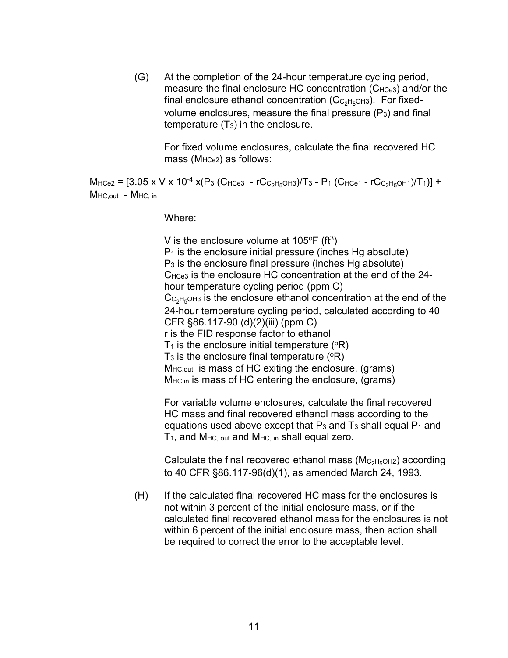(G) At the completion of the 24-hour temperature cycling period, measure the final enclosure HC concentration  $(C_{HCe3})$  and/or the final enclosure ethanol concentration  $(C_{C_2H_5OH3})$ . For fixedvolume enclosures, measure the final pressure  $(P_3)$  and final temperature  $(T_3)$  in the enclosure.

For fixed volume enclosures, calculate the final recovered HC mass (M<sub>HCe2</sub>) as follows:

 $M_{\text{HCe2}} = [3.05 \times V \times 10^{-4} \times (P_3 (C_{\text{HCe3}} - rC_{C_2H_5\text{OH3}})/T_3 - P_1 (C_{\text{HCe1}} - rC_{C_2H_5\text{OH1}})/T_1)] +$ MHC.out - MHC, in

Where:

V is the enclosure volume at  $105^{\circ}F$  (ft<sup>3</sup>)  $P_1$  is the enclosure initial pressure (inches Hg absolute) P3 is the enclosure final pressure (inches Hg absolute) CHCe3 is the enclosure HC concentration at the end of the 24 hour temperature cycling period (ppm C)  $C_{C_2H_5OH3}$  is the enclosure ethanol concentration at the end of the 24-hour temperature cycling period, calculated according to 40 CFR §86.117-90 (d)(2)(iii) (ppm C) r is the FID response factor to ethanol  $T_1$  is the enclosure initial temperature ( $\textdegree$ R)  $T_3$  is the enclosure final temperature ( $\textdegree$ R) M<sub>HC,out</sub> is mass of HC exiting the enclosure, (grams)  $M_{HC,in}$  is mass of HC entering the enclosure, (grams)

For variable volume enclosures, calculate the final recovered HC mass and final recovered ethanol mass according to the equations used above except that  $P_3$  and  $T_3$  shall equal  $P_1$  and  $T_1$ , and  $M_{HC, out}$  and  $M_{HC,in}$  shall equal zero.

Calculate the final recovered ethanol mass ( $\rm M_{\rm C_2H_5OH2}$ ) according to 40 CFR §86.117-96(d)(1), as amended March 24, 1993.

(H) If the calculated final recovered HC mass for the enclosures is not within 3 percent of the initial enclosure mass, or if the calculated final recovered ethanol mass for the enclosures is not within 6 percent of the initial enclosure mass, then action shall be required to correct the error to the acceptable level.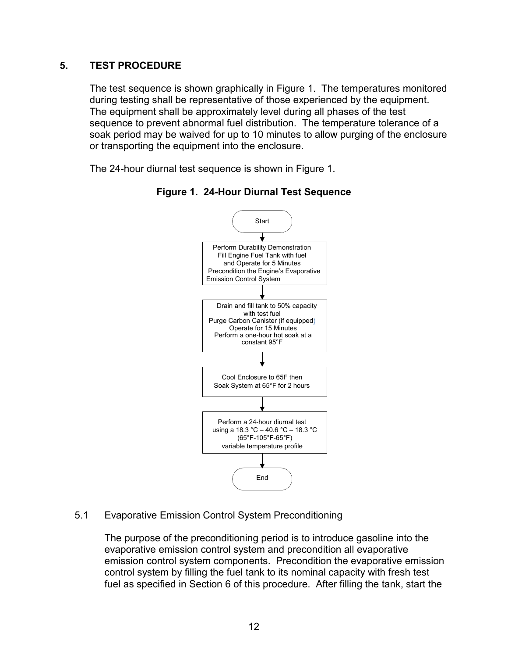### **5. TEST PROCEDURE**

The test sequence is shown graphically in Figure 1. The temperatures monitored during testing shall be representative of those experienced by the equipment. The equipment shall be approximately level during all phases of the test sequence to prevent abnormal fuel distribution. The temperature tolerance of a soak period may be waived for up to 10 minutes to allow purging of the enclosure or transporting the equipment into the enclosure.

<span id="page-13-0"></span>The 24-hour diurnal test sequence is shown in Figure 1.





5.1 Evaporative Emission Control System Preconditioning

The purpose of the preconditioning period is to introduce gasoline into the evaporative emission control system and precondition all evaporative emission control system components. Precondition the evaporative emission control system by filling the fuel tank to its nominal capacity with fresh test fuel as specified in Section 6 of this procedure. After filling the tank, start the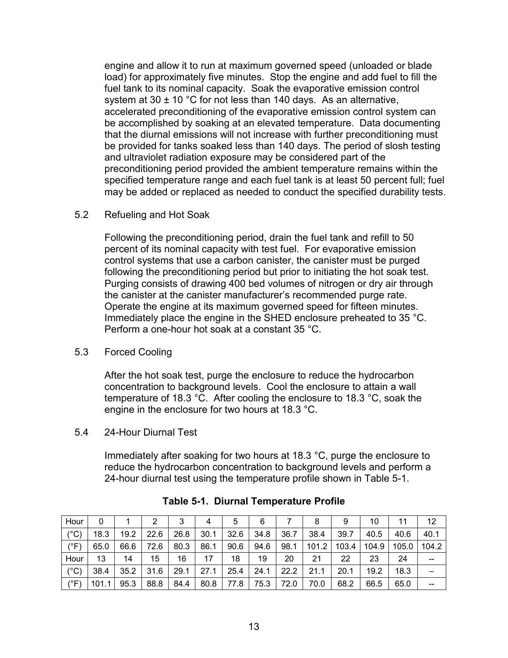engine and allow it to run at maximum governed speed (unloaded or blade load) for approximately five minutes. Stop the engine and add fuel to fill the fuel tank to its nominal capacity. Soak the evaporative emission control system at 30  $\pm$  10 °C for not less than 140 days. As an alternative, accelerated preconditioning of the evaporative emission control system can be accomplished by soaking at an elevated temperature. Data documenting that the diurnal emissions will not increase with further preconditioning must be provided for tanks soaked less than 140 days. The period of slosh testing and ultraviolet radiation exposure may be considered part of the preconditioning period provided the ambient temperature remains within the specified temperature range and each fuel tank is at least 50 percent full; fuel may be added or replaced as needed to conduct the specified durability tests.

#### 5.2 Refueling and Hot Soak

Following the preconditioning period, drain the fuel tank and refill to 50 percent of its nominal capacity with test fuel. For evaporative emission control systems that use a carbon canister, the canister must be purged following the preconditioning period but prior to initiating the hot soak test. Purging consists of drawing 400 bed volumes of nitrogen or dry air through the canister at the canister manufacturer's recommended purge rate. Operate the engine at its maximum governed speed for fifteen minutes. Immediately place the engine in the SHED enclosure preheated to 35 °C. Perform a one-hour hot soak at a constant 35 °C.

#### 5.3 Forced Cooling

After the hot soak test, purge the enclosure to reduce the hydrocarbon concentration to background levels. Cool the enclosure to attain a wall temperature of 18.3 °C. After cooling the enclosure to 18.3 °C, soak the engine in the enclosure for two hours at 18.3 °C.

### 5.4 24-Hour Diurnal Test

Immediately after soaking for two hours at 18.3 °C, purge the enclosure to reduce the hydrocarbon concentration to background levels and perform a 24-hour diurnal test using the temperature profile shown in Table 5-1.

| Hour          | 0     |      |      | 3    | 4    | 5    | 6    |      | 8     | 9     | 10    | 11    | 12    |
|---------------|-------|------|------|------|------|------|------|------|-------|-------|-------|-------|-------|
| $(^{\circ}C)$ | 18.3  | 19.2 | 22.6 | 26.8 | 30.1 | 32.6 | 34.8 | 36.7 | 38.4  | 39.7  | 40.5  | 40.6  | 40.1  |
| $(^{\circ}F)$ | 65.0  | 66.6 | 72.6 | 80.3 | 86.1 | 90.6 | 94.6 | 98.1 | 101.2 | 103.4 | 104.9 | 105.0 | 104.2 |
| Hour          | 13    | 14   | 15   | 16   | 17   | 18   | 19   | 20   | 21    | 22    | 23    | 24    | $- -$ |
| $(^{\circ}C)$ | 38.4  | 35.2 | 31.6 | 29.1 | 27.1 | 25.4 | 24.1 | 22.2 | 21.1  | 20.1  | 19.2  | 18.3  |       |
| $(^{\circ}F)$ | 101.1 | 95.3 | 88.8 | 84.4 | 80.8 | 77.8 | 75.3 | 72.0 | 70.0  | 68.2  | 66.5  | 65.0  | --    |

|  |  | <b>Table 5-1. Diurnal Temperature Profile</b> |  |
|--|--|-----------------------------------------------|--|
|--|--|-----------------------------------------------|--|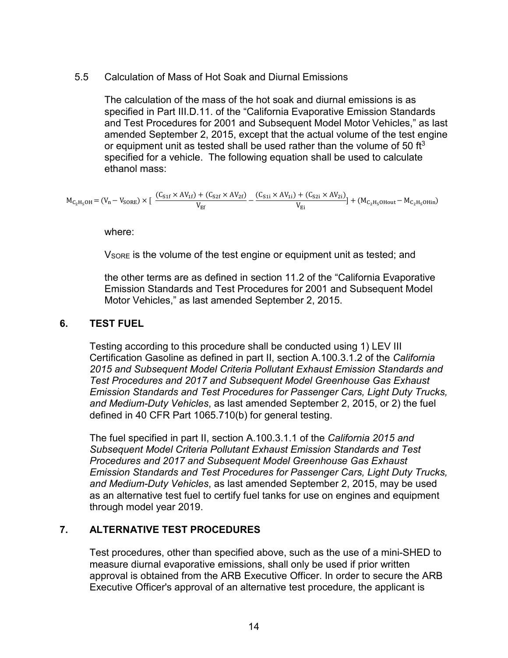#### 5.5 Calculation of Mass of Hot Soak and Diurnal Emissions

The calculation of the mass of the hot soak and diurnal emissions is as specified in Part III.D.11. of the "California Evaporative Emission Standards and Test Procedures for 2001 and Subsequent Model Motor Vehicles," as last amended September 2, 2015, except that the actual volume of the test engine or equipment unit as tested shall be used rather than the volume of 50 ft $3$ specified for a vehicle. The following equation shall be used to calculate ethanol mass:

$$
M_{C_2H_5OH} = (V_n - V_{SORE}) \times [\frac{(C_{S1f} \times AV_{1f}) + (C_{S2f} \times AV_{2f})}{V_{Ef}} - \frac{(C_{S1i} \times AV_{1i}) + (C_{S2i} \times AV_{2i})}{V_{Ei}}] + (M_{C_2H_5OHout} - M_{C_2H_5OHin})
$$

where:

V<sub>SORE</sub> is the volume of the test engine or equipment unit as tested; and

the other terms are as defined in section 11.2 of the "California Evaporative Emission Standards and Test Procedures for 2001 and Subsequent Model Motor Vehicles," as last amended September 2, 2015.

### **6. TEST FUEL**

Testing according to this procedure shall be conducted using 1) LEV III Certification Gasoline as defined in part II, section A.100.3.1.2 of the *California 2015 and Subsequent Model Criteria Pollutant Exhaust Emission Standards and Test Procedures and 2017 and Subsequent Model Greenhouse Gas Exhaust Emission Standards and Test Procedures for Passenger Cars, Light Duty Trucks, and Medium-Duty Vehicles*, as last amended September 2, 2015, or 2) the fuel defined in 40 CFR Part 1065.710(b) for general testing.

The fuel specified in part II, section A.100.3.1.1 of the *California 2015 and Subsequent Model Criteria Pollutant Exhaust Emission Standards and Test Procedures and 2017 and Subsequent Model Greenhouse Gas Exhaust Emission Standards and Test Procedures for Passenger Cars, Light Duty Trucks, and Medium-Duty Vehicles*, as last amended September 2, 2015, may be used as an alternative test fuel to certify fuel tanks for use on engines and equipment through model year 2019.

### **7. ALTERNATIVE TEST PROCEDURES**

Test procedures, other than specified above, such as the use of a mini-SHED to measure diurnal evaporative emissions, shall only be used if prior written approval is obtained from the ARB Executive Officer. In order to secure the ARB Executive Officer's approval of an alternative test procedure, the applicant is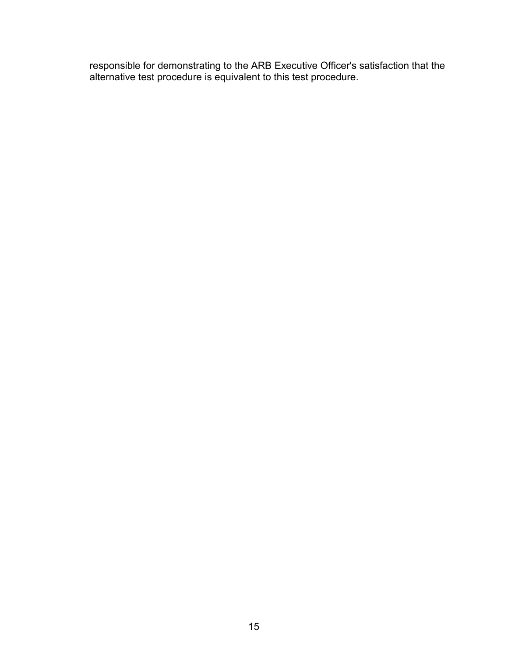responsible for demonstrating to the ARB Executive Officer's satisfaction that the alternative test procedure is equivalent to this test procedure.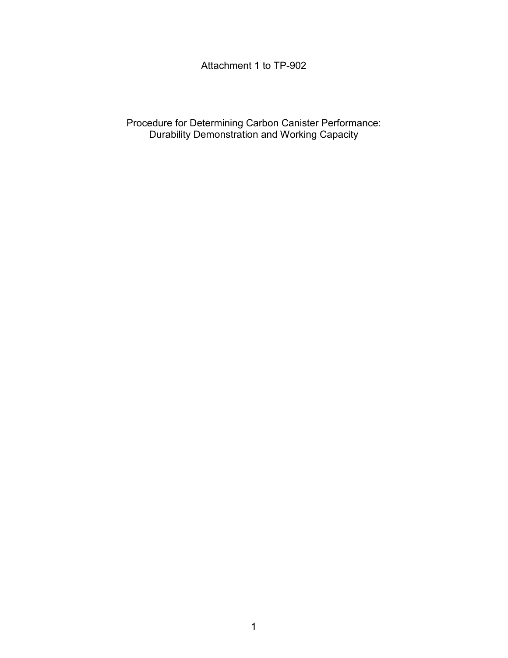## Attachment 1 to TP-902

Procedure for Determining Carbon Canister Performance: Durability Demonstration and Working Capacity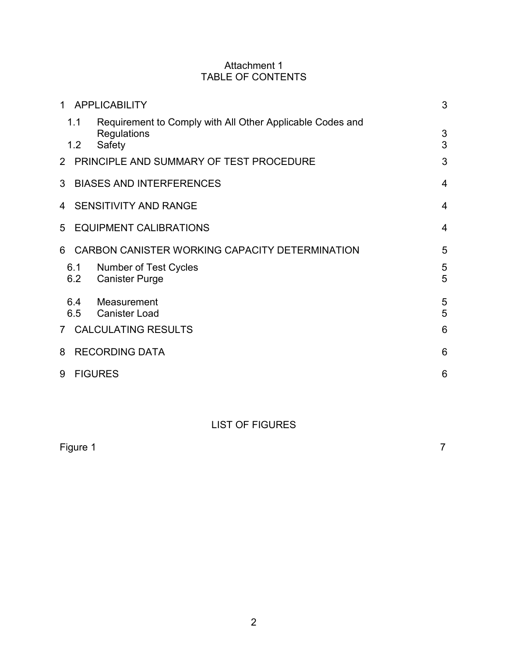### Attachment 1 TABLE OF CONTENTS

|                                                                                    | 3                                                                                                                                                                                                                                                                                           |
|------------------------------------------------------------------------------------|---------------------------------------------------------------------------------------------------------------------------------------------------------------------------------------------------------------------------------------------------------------------------------------------|
| Requirement to Comply with All Other Applicable Codes and<br>Regulations<br>Safety | 3<br>3                                                                                                                                                                                                                                                                                      |
|                                                                                    | 3                                                                                                                                                                                                                                                                                           |
|                                                                                    | $\overline{4}$                                                                                                                                                                                                                                                                              |
|                                                                                    | $\overline{4}$                                                                                                                                                                                                                                                                              |
|                                                                                    | 4                                                                                                                                                                                                                                                                                           |
|                                                                                    | 5                                                                                                                                                                                                                                                                                           |
| Number of Test Cycles<br><b>Canister Purge</b>                                     | 5<br>5                                                                                                                                                                                                                                                                                      |
| Measurement<br><b>Canister Load</b>                                                | 5<br>5                                                                                                                                                                                                                                                                                      |
|                                                                                    | 6                                                                                                                                                                                                                                                                                           |
|                                                                                    | 6                                                                                                                                                                                                                                                                                           |
|                                                                                    | 6                                                                                                                                                                                                                                                                                           |
| $\mathbf{1}$<br>1.1<br>1.2<br>5<br>6.1<br>6.2<br>6.4<br>6.5<br>7 <sup>7</sup>      | <b>APPLICABILITY</b><br>2 PRINCIPLE AND SUMMARY OF TEST PROCEDURE<br><b>BIASES AND INTERFERENCES</b><br>4 SENSITIVITY AND RANGE<br><b>EQUIPMENT CALIBRATIONS</b><br>CARBON CANISTER WORKING CAPACITY DETERMINATION<br><b>CALCULATING RESULTS</b><br><b>RECORDING DATA</b><br><b>FIGURES</b> |

# LIST OF FIGURES

| Figure 1 |  | $\overline{\phantom{a}}$ |
|----------|--|--------------------------|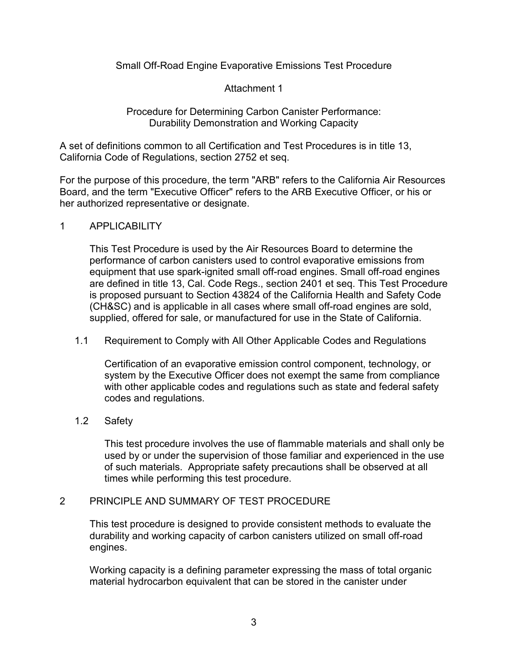Small Off-Road Engine Evaporative Emissions Test Procedure

Attachment 1

Procedure for Determining Carbon Canister Performance: Durability Demonstration and Working Capacity

A set of definitions common to all Certification and Test Procedures is in title 13, California Code of Regulations, section 2752 et seq.

For the purpose of this procedure, the term "ARB" refers to the California Air Resources Board, and the term "Executive Officer" refers to the ARB Executive Officer, or his or her authorized representative or designate.

### <span id="page-19-0"></span>1 APPLICABILITY

This Test Procedure is used by the Air Resources Board to determine the performance of carbon canisters used to control evaporative emissions from equipment that use spark-ignited small off-road engines. Small off-road engines are defined in title 13, Cal. Code Regs., section 2401 et seq. This Test Procedure is proposed pursuant to Section 43824 of the California Health and Safety Code (CH&SC) and is applicable in all cases where small off-road engines are sold, supplied, offered for sale, or manufactured for use in the State of California.

<span id="page-19-1"></span>1.1 Requirement to Comply with All Other Applicable Codes and Regulations

Certification of an evaporative emission control component, technology, or system by the Executive Officer does not exempt the same from compliance with other applicable codes and regulations such as state and federal safety codes and regulations.

### <span id="page-19-2"></span>1.2 Safety

This test procedure involves the use of flammable materials and shall only be used by or under the supervision of those familiar and experienced in the use of such materials. Appropriate safety precautions shall be observed at all times while performing this test procedure.

### <span id="page-19-3"></span>2 PRINCIPLE AND SUMMARY OF TEST PROCEDURE

This test procedure is designed to provide consistent methods to evaluate the durability and working capacity of carbon canisters utilized on small off-road engines.

Working capacity is a defining parameter expressing the mass of total organic material hydrocarbon equivalent that can be stored in the canister under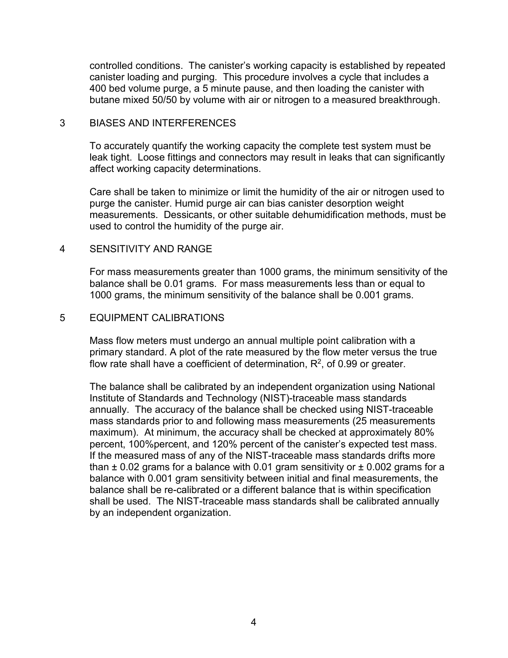controlled conditions. The canister's working capacity is established by repeated canister loading and purging. This procedure involves a cycle that includes a 400 bed volume purge, a 5 minute pause, and then loading the canister with butane mixed 50/50 by volume with air or nitrogen to a measured breakthrough.

#### <span id="page-20-0"></span>3 BIASES AND INTERFERENCES

To accurately quantify the working capacity the complete test system must be leak tight. Loose fittings and connectors may result in leaks that can significantly affect working capacity determinations.

Care shall be taken to minimize or limit the humidity of the air or nitrogen used to purge the canister. Humid purge air can bias canister desorption weight measurements. Dessicants, or other suitable dehumidification methods, must be used to control the humidity of the purge air.

#### <span id="page-20-1"></span>4 SENSITIVITY AND RANGE

For mass measurements greater than 1000 grams, the minimum sensitivity of the balance shall be 0.01 grams. For mass measurements less than or equal to 1000 grams, the minimum sensitivity of the balance shall be 0.001 grams.

#### <span id="page-20-2"></span>5 EQUIPMENT CALIBRATIONS

Mass flow meters must undergo an annual multiple point calibration with a primary standard. A plot of the rate measured by the flow meter versus the true flow rate shall have a coefficient of determination,  $R^2$ , of 0.99 or greater.

The balance shall be calibrated by an independent organization using National Institute of Standards and Technology (NIST)-traceable mass standards annually. The accuracy of the balance shall be checked using NIST-traceable mass standards prior to and following mass measurements (25 measurements maximum). At minimum, the accuracy shall be checked at approximately 80% percent, 100%percent, and 120% percent of the canister's expected test mass. If the measured mass of any of the NIST-traceable mass standards drifts more than  $\pm$  0.02 grams for a balance with 0.01 gram sensitivity or  $\pm$  0.002 grams for a balance with 0.001 gram sensitivity between initial and final measurements, the balance shall be re-calibrated or a different balance that is within specification shall be used. The NIST-traceable mass standards shall be calibrated annually by an independent organization.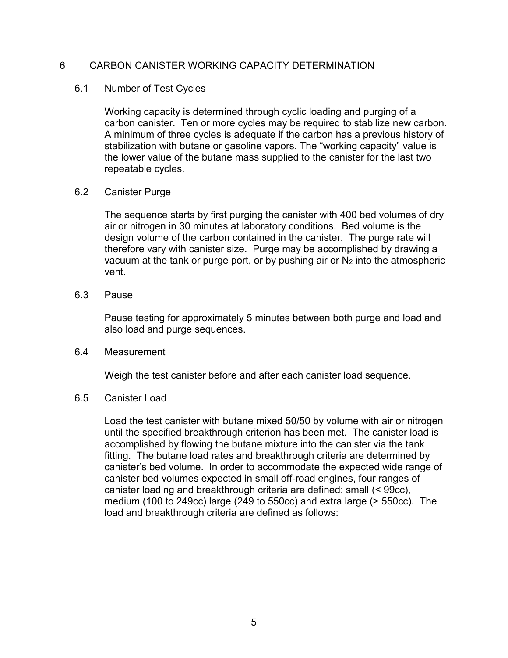### <span id="page-21-0"></span>6 CARBON CANISTER WORKING CAPACITY DETERMINATION

#### <span id="page-21-1"></span>6.1 Number of Test Cycles

Working capacity is determined through cyclic loading and purging of a carbon canister. Ten or more cycles may be required to stabilize new carbon. A minimum of three cycles is adequate if the carbon has a previous history of stabilization with butane or gasoline vapors. The "working capacity" value is the lower value of the butane mass supplied to the canister for the last two repeatable cycles.

#### <span id="page-21-2"></span>6.2 Canister Purge

The sequence starts by first purging the canister with 400 bed volumes of dry air or nitrogen in 30 minutes at laboratory conditions. Bed volume is the design volume of the carbon contained in the canister. The purge rate will therefore vary with canister size. Purge may be accomplished by drawing a vacuum at the tank or purge port, or by pushing air or  $N_2$  into the atmospheric vent.

#### 6.3 Pause

Pause testing for approximately 5 minutes between both purge and load and also load and purge sequences.

#### <span id="page-21-3"></span>6.4 Measurement

Weigh the test canister before and after each canister load sequence.

#### <span id="page-21-4"></span>6.5 Canister Load

Load the test canister with butane mixed 50/50 by volume with air or nitrogen until the specified breakthrough criterion has been met. The canister load is accomplished by flowing the butane mixture into the canister via the tank fitting. The butane load rates and breakthrough criteria are determined by canister's bed volume. In order to accommodate the expected wide range of canister bed volumes expected in small off-road engines, four ranges of canister loading and breakthrough criteria are defined: small (< 99cc), medium (100 to 249cc) large (249 to 550cc) and extra large (> 550cc). The load and breakthrough criteria are defined as follows: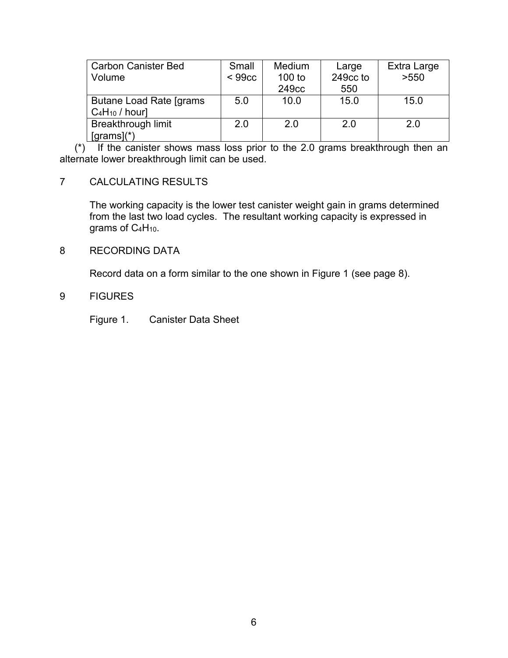| <b>Carbon Canister Bed</b> | Small              | <b>Medium</b>     | Large    | Extra Large |
|----------------------------|--------------------|-------------------|----------|-------------|
| Volume                     | < 99 <sub>cc</sub> | $100$ to          | 249cc to | >550        |
|                            |                    | 249 <sub>cc</sub> | 550      |             |
| Butane Load Rate [grams]   | 5.0                | 10.0              | 15.0     | 15.0        |
| $C_4H_{10}$ / hour]        |                    |                   |          |             |
| <b>Breakthrough limit</b>  | 2.0                | 2.0               | 2.0      | 2.0         |
| $[grams](*)$               |                    |                   |          |             |

(\*) If the canister shows mass loss prior to the 2.0 grams breakthrough then an alternate lower breakthrough limit can be used.

### <span id="page-22-0"></span>7 CALCULATING RESULTS

The working capacity is the lower test canister weight gain in grams determined from the last two load cycles. The resultant working capacity is expressed in grams of C<sub>4</sub>H<sub>10</sub>.

### <span id="page-22-1"></span>8 RECORDING DATA

Record data on a form similar to the one shown in Figure 1 (see page 8).

### <span id="page-22-2"></span>9 FIGURES

Figure 1. Canister Data Sheet